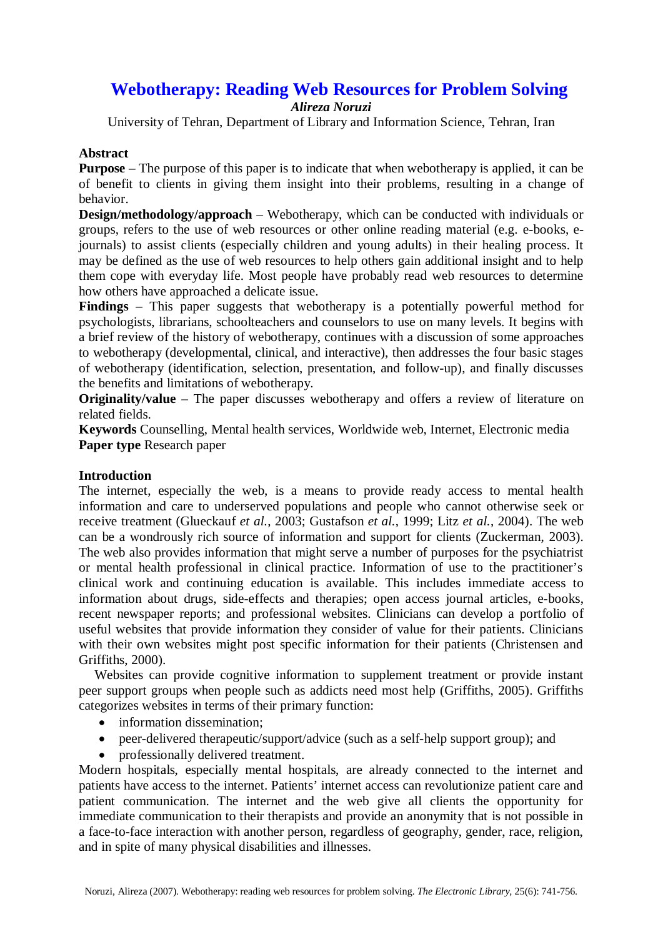# **Webotherapy: Reading Web Resources for Problem Solving**

*Alireza Noruzi*

University of Tehran, Department of Library and Information Science, Tehran, Iran

# **Abstract**

**Purpose** – The purpose of this paper is to indicate that when webotherapy is applied, it can be of benefit to clients in giving them insight into their problems, resulting in a change of behavior.

**Design/methodology/approach** – Webotherapy, which can be conducted with individuals or groups, refers to the use of web resources or other online reading material (e.g. e-books, ejournals) to assist clients (especially children and young adults) in their healing process. It may be defined as the use of web resources to help others gain additional insight and to help them cope with everyday life. Most people have probably read web resources to determine how others have approached a delicate issue.

**Findings** – This paper suggests that webotherapy is a potentially powerful method for psychologists, librarians, schoolteachers and counselors to use on many levels. It begins with a brief review of the history of webotherapy, continues with a discussion of some approaches to webotherapy (developmental, clinical, and interactive), then addresses the four basic stages of webotherapy (identification, selection, presentation, and follow-up), and finally discusses the benefits and limitations of webotherapy.

**Originality/value** – The paper discusses webotherapy and offers a review of literature on related fields.

**Keywords** Counselling, Mental health services, Worldwide web, Internet, Electronic media **Paper type** Research paper

## **Introduction**

The internet, especially the web, is a means to provide ready access to mental health information and care to underserved populations and people who cannot otherwise seek or receive treatment (Glueckauf *et al.*, 2003; Gustafson *et al.*, 1999; Litz *et al.*, 2004). The web can be a wondrously rich source of information and support for clients (Zuckerman, 2003). The web also provides information that might serve a number of purposes for the psychiatrist or mental health professional in clinical practice. Information of use to the practitioner's clinical work and continuing education is available. This includes immediate access to information about drugs, side-effects and therapies; open access journal articles, e-books, recent newspaper reports; and professional websites. Clinicians can develop a portfolio of useful websites that provide information they consider of value for their patients. Clinicians with their own websites might post specific information for their patients (Christensen and Griffiths, 2000).

Websites can provide cognitive information to supplement treatment or provide instant peer support groups when people such as addicts need most help (Griffiths, 2005). Griffiths categorizes websites in terms of their primary function:

- information dissemination;
- peer-delivered therapeutic/support/advice (such as a self-help support group); and
- professionally delivered treatment.

Modern hospitals, especially mental hospitals, are already connected to the internet and patients have access to the internet. Patients' internet access can revolutionize patient care and patient communication. The internet and the web give all clients the opportunity for immediate communication to their therapists and provide an anonymity that is not possible in a face-to-face interaction with another person, regardless of geography, gender, race, religion, and in spite of many physical disabilities and illnesses.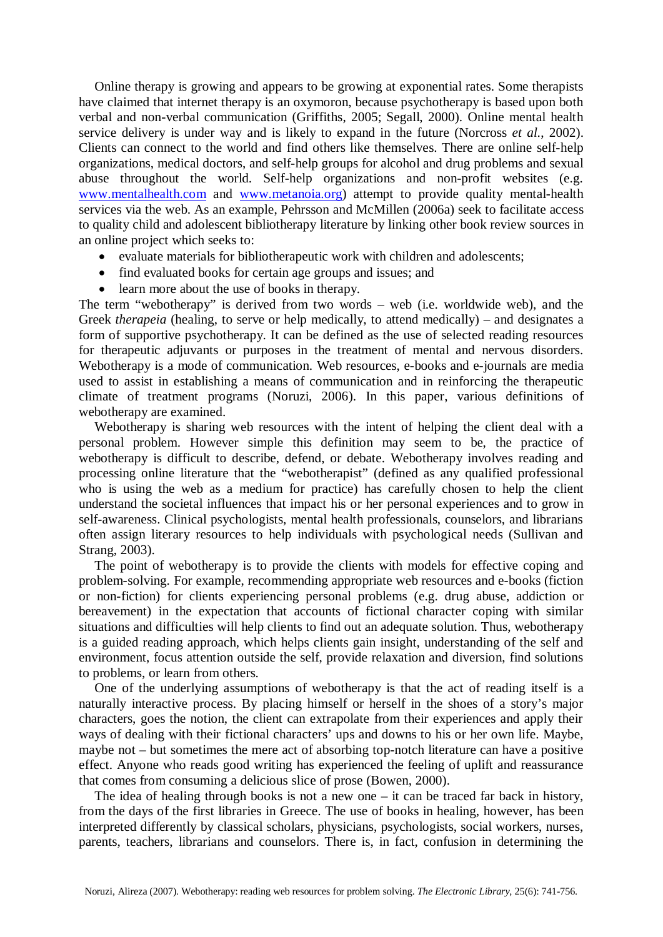Online therapy is growing and appears to be growing at exponential rates. Some therapists have claimed that internet therapy is an oxymoron, because psychotherapy is based upon both verbal and non-verbal communication (Griffiths, 2005; Segall, 2000). Online mental health service delivery is under way and is likely to expand in the future (Norcross *et al.*, 2002). Clients can connect to the world and find others like themselves. There are online self-help organizations, medical doctors, and self-help groups for alcohol and drug problems and sexual abuse throughout the world. Self-help organizations and non-profit websites (e.g. [www.mentalhealth.com](http://:@www.mentalhealth.com/) and [www.metanoia.org\)](http://:@www.metanoia.org)/) attempt to provide quality mental-health services via the web. As an example, Pehrsson and McMillen (2006a) seek to facilitate access to quality child and adolescent bibliotherapy literature by linking other book review sources in an online project which seeks to:

- evaluate materials for bibliotherapeutic work with children and adolescents;
- find evaluated books for certain age groups and issues; and
- learn more about the use of books in therapy.

The term "webotherapy" is derived from two words – web (i.e. worldwide web), and the Greek *therapeia* (healing, to serve or help medically, to attend medically) – and designates a form of supportive psychotherapy. It can be defined as the use of selected reading resources for therapeutic adjuvants or purposes in the treatment of mental and nervous disorders. Webotherapy is a mode of communication. Web resources, e-books and e-journals are media used to assist in establishing a means of communication and in reinforcing the therapeutic climate of treatment programs (Noruzi, 2006). In this paper, various definitions of webotherapy are examined.

Webotherapy is sharing web resources with the intent of helping the client deal with a personal problem. However simple this definition may seem to be, the practice of webotherapy is difficult to describe, defend, or debate. Webotherapy involves reading and processing online literature that the "webotherapist" (defined as any qualified professional who is using the web as a medium for practice) has carefully chosen to help the client understand the societal influences that impact his or her personal experiences and to grow in self-awareness. Clinical psychologists, mental health professionals, counselors, and librarians often assign literary resources to help individuals with psychological needs (Sullivan and Strang, 2003).

The point of webotherapy is to provide the clients with models for effective coping and problem-solving. For example, recommending appropriate web resources and e-books (fiction or non-fiction) for clients experiencing personal problems (e.g. drug abuse, addiction or bereavement) in the expectation that accounts of fictional character coping with similar situations and difficulties will help clients to find out an adequate solution. Thus, webotherapy is a guided reading approach, which helps clients gain insight, understanding of the self and environment, focus attention outside the self, provide relaxation and diversion, find solutions to problems, or learn from others.

One of the underlying assumptions of webotherapy is that the act of reading itself is a naturally interactive process. By placing himself or herself in the shoes of a story's major characters, goes the notion, the client can extrapolate from their experiences and apply their ways of dealing with their fictional characters' ups and downs to his or her own life. Maybe, maybe not – but sometimes the mere act of absorbing top-notch literature can have a positive effect. Anyone who reads good writing has experienced the feeling of uplift and reassurance that comes from consuming a delicious slice of prose (Bowen, 2000).

The idea of healing through books is not a new one – it can be traced far back in history, from the days of the first libraries in Greece. The use of books in healing, however, has been interpreted differently by classical scholars, physicians, psychologists, social workers, nurses, parents, teachers, librarians and counselors. There is, in fact, confusion in determining the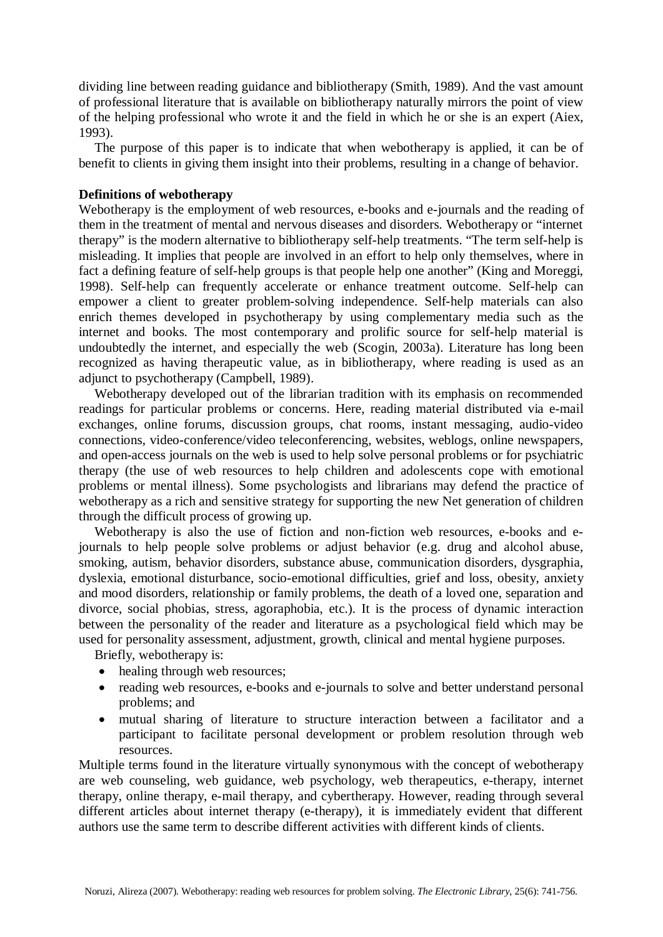dividing line between reading guidance and bibliotherapy (Smith, 1989). And the vast amount of professional literature that is available on bibliotherapy naturally mirrors the point of view of the helping professional who wrote it and the field in which he or she is an expert (Aiex, 1993).

The purpose of this paper is to indicate that when webotherapy is applied, it can be of benefit to clients in giving them insight into their problems, resulting in a change of behavior.

#### **Definitions of webotherapy**

Webotherapy is the employment of web resources, e-books and e-journals and the reading of them in the treatment of mental and nervous diseases and disorders. Webotherapy or "internet therapy" is the modern alternative to bibliotherapy self-help treatments. "The term self-help is misleading. It implies that people are involved in an effort to help only themselves, where in fact a defining feature of self-help groups is that people help one another" (King and Moreggi, 1998). Self-help can frequently accelerate or enhance treatment outcome. Self-help can empower a client to greater problem-solving independence. Self-help materials can also enrich themes developed in psychotherapy by using complementary media such as the internet and books. The most contemporary and prolific source for self-help material is undoubtedly the internet, and especially the web (Scogin, 2003a). Literature has long been recognized as having therapeutic value, as in bibliotherapy, where reading is used as an adjunct to psychotherapy (Campbell, 1989).

Webotherapy developed out of the librarian tradition with its emphasis on recommended readings for particular problems or concerns. Here, reading material distributed via e-mail exchanges, online forums, discussion groups, chat rooms, instant messaging, audio-video connections, video-conference/video teleconferencing, websites, weblogs, online newspapers, and open-access journals on the web is used to help solve personal problems or for psychiatric therapy (the use of web resources to help children and adolescents cope with emotional problems or mental illness). Some psychologists and librarians may defend the practice of webotherapy as a rich and sensitive strategy for supporting the new Net generation of children through the difficult process of growing up.

Webotherapy is also the use of fiction and non-fiction web resources, e-books and ejournals to help people solve problems or adjust behavior (e.g. drug and alcohol abuse, smoking, autism, behavior disorders, substance abuse, communication disorders, dysgraphia, dyslexia, emotional disturbance, socio-emotional difficulties, grief and loss, obesity, anxiety and mood disorders, relationship or family problems, the death of a loved one, separation and divorce, social phobias, stress, agoraphobia, etc.). It is the process of dynamic interaction between the personality of the reader and literature as a psychological field which may be used for personality assessment, adjustment, growth, clinical and mental hygiene purposes.

Briefly, webotherapy is:

- healing through web resources;
- reading web resources, e-books and e-journals to solve and better understand personal problems; and
- mutual sharing of literature to structure interaction between a facilitator and a participant to facilitate personal development or problem resolution through web resources.

Multiple terms found in the literature virtually synonymous with the concept of webotherapy are web counseling, web guidance, web psychology, web therapeutics, e-therapy, internet therapy, online therapy, e-mail therapy, and cybertherapy. However, reading through several different articles about internet therapy (e-therapy), it is immediately evident that different authors use the same term to describe different activities with different kinds of clients.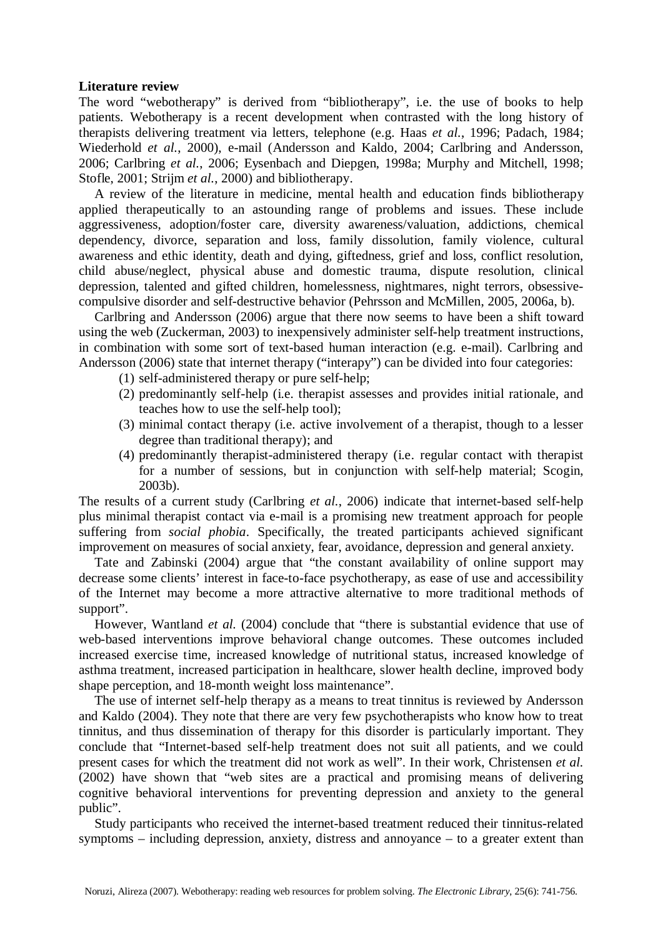### **Literature review**

The word "webotherapy" is derived from "bibliotherapy", i.e. the use of books to help patients. Webotherapy is a recent development when contrasted with the long history of therapists delivering treatment via letters, telephone (e.g. Haas *et al.*, 1996; Padach, 1984; Wiederhold *et al.*, 2000), e-mail (Andersson and Kaldo, 2004; Carlbring and Andersson, 2006; Carlbring *et al.*, 2006; Eysenbach and Diepgen, 1998a; Murphy and Mitchell, 1998; Stofle, 2001; Strijm *et al.*, 2000) and bibliotherapy.

A review of the literature in medicine, mental health and education finds bibliotherapy applied therapeutically to an astounding range of problems and issues. These include aggressiveness, adoption/foster care, diversity awareness/valuation, addictions, chemical dependency, divorce, separation and loss, family dissolution, family violence, cultural awareness and ethic identity, death and dying, giftedness, grief and loss, conflict resolution, child abuse/neglect, physical abuse and domestic trauma, dispute resolution, clinical depression, talented and gifted children, homelessness, nightmares, night terrors, obsessivecompulsive disorder and self-destructive behavior (Pehrsson and McMillen, 2005, 2006a, b).

Carlbring and Andersson (2006) argue that there now seems to have been a shift toward using the web (Zuckerman, 2003) to inexpensively administer self-help treatment instructions, in combination with some sort of text-based human interaction (e.g. e-mail). Carlbring and Andersson (2006) state that internet therapy ("interapy") can be divided into four categories:

- (1) self-administered therapy or pure self-help;
- (2) predominantly self-help (i.e. therapist assesses and provides initial rationale, and teaches how to use the self-help tool);
- (3) minimal contact therapy (i.e. active involvement of a therapist, though to a lesser degree than traditional therapy); and
- (4) predominantly therapist-administered therapy (i.e. regular contact with therapist for a number of sessions, but in conjunction with self-help material; Scogin, 2003b).

The results of a current study (Carlbring *et al.*, 2006) indicate that internet-based self-help plus minimal therapist contact via e-mail is a promising new treatment approach for people suffering from *social phobia*. Specifically, the treated participants achieved significant improvement on measures of social anxiety, fear, avoidance, depression and general anxiety.

Tate and Zabinski (2004) argue that "the constant availability of online support may decrease some clients' interest in face-to-face psychotherapy, as ease of use and accessibility of the Internet may become a more attractive alternative to more traditional methods of support".

However, Wantland *et al.* (2004) conclude that "there is substantial evidence that use of web-based interventions improve behavioral change outcomes. These outcomes included increased exercise time, increased knowledge of nutritional status, increased knowledge of asthma treatment, increased participation in healthcare, slower health decline, improved body shape perception, and 18-month weight loss maintenance".

The use of internet self-help therapy as a means to treat tinnitus is reviewed by Andersson and Kaldo (2004). They note that there are very few psychotherapists who know how to treat tinnitus, and thus dissemination of therapy for this disorder is particularly important. They conclude that "Internet-based self-help treatment does not suit all patients, and we could present cases for which the treatment did not work as well". In their work, Christensen *et al.* (2002) have shown that "web sites are a practical and promising means of delivering cognitive behavioral interventions for preventing depression and anxiety to the general public".

Study participants who received the internet-based treatment reduced their tinnitus-related symptoms – including depression, anxiety, distress and annoyance – to a greater extent than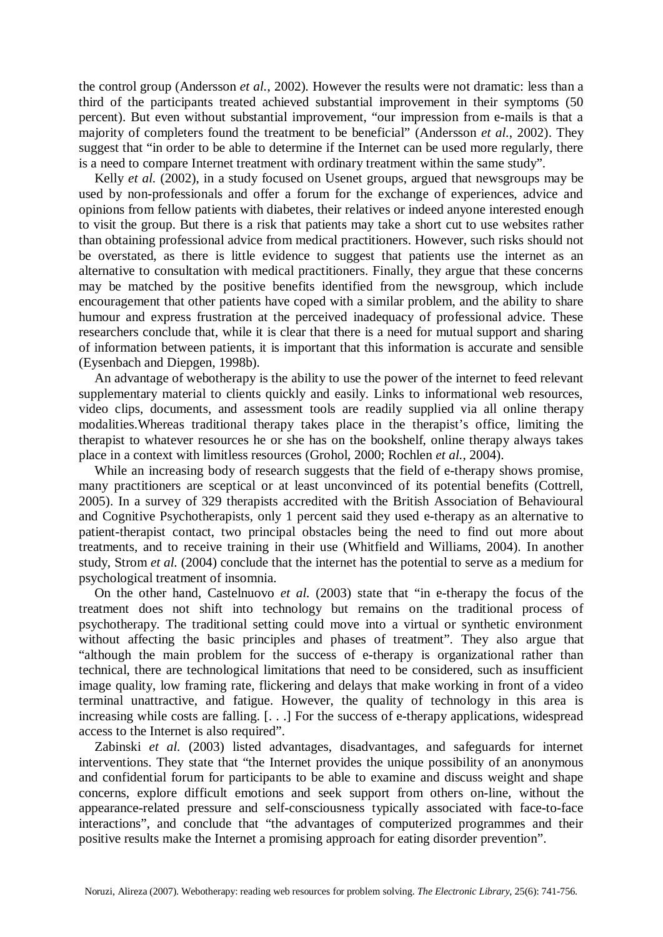the control group (Andersson *et al.*, 2002). However the results were not dramatic: less than a third of the participants treated achieved substantial improvement in their symptoms (50 percent). But even without substantial improvement, "our impression from e-mails is that a majority of completers found the treatment to be beneficial" (Andersson *et al.*, 2002). They suggest that "in order to be able to determine if the Internet can be used more regularly, there is a need to compare Internet treatment with ordinary treatment within the same study".

Kelly *et al.* (2002), in a study focused on Usenet groups, argued that newsgroups may be used by non-professionals and offer a forum for the exchange of experiences, advice and opinions from fellow patients with diabetes, their relatives or indeed anyone interested enough to visit the group. But there is a risk that patients may take a short cut to use websites rather than obtaining professional advice from medical practitioners. However, such risks should not be overstated, as there is little evidence to suggest that patients use the internet as an alternative to consultation with medical practitioners. Finally, they argue that these concerns may be matched by the positive benefits identified from the newsgroup, which include encouragement that other patients have coped with a similar problem, and the ability to share humour and express frustration at the perceived inadequacy of professional advice. These researchers conclude that, while it is clear that there is a need for mutual support and sharing of information between patients, it is important that this information is accurate and sensible (Eysenbach and Diepgen, 1998b).

An advantage of webotherapy is the ability to use the power of the internet to feed relevant supplementary material to clients quickly and easily. Links to informational web resources, video clips, documents, and assessment tools are readily supplied via all online therapy modalities.Whereas traditional therapy takes place in the therapist's office, limiting the therapist to whatever resources he or she has on the bookshelf, online therapy always takes place in a context with limitless resources (Grohol, 2000; Rochlen *et al.*, 2004).

While an increasing body of research suggests that the field of e-therapy shows promise, many practitioners are sceptical or at least unconvinced of its potential benefits (Cottrell, 2005). In a survey of 329 therapists accredited with the British Association of Behavioural and Cognitive Psychotherapists, only 1 percent said they used e-therapy as an alternative to patient-therapist contact, two principal obstacles being the need to find out more about treatments, and to receive training in their use (Whitfield and Williams, 2004). In another study, Strom *et al.* (2004) conclude that the internet has the potential to serve as a medium for psychological treatment of insomnia.

On the other hand, Castelnuovo *et al.* (2003) state that "in e-therapy the focus of the treatment does not shift into technology but remains on the traditional process of psychotherapy. The traditional setting could move into a virtual or synthetic environment without affecting the basic principles and phases of treatment". They also argue that "although the main problem for the success of e-therapy is organizational rather than technical, there are technological limitations that need to be considered, such as insufficient image quality, low framing rate, flickering and delays that make working in front of a video terminal unattractive, and fatigue. However, the quality of technology in this area is increasing while costs are falling. [. . .] For the success of e-therapy applications, widespread access to the Internet is also required".

Zabinski *et al.* (2003) listed advantages, disadvantages, and safeguards for internet interventions. They state that "the Internet provides the unique possibility of an anonymous and confidential forum for participants to be able to examine and discuss weight and shape concerns, explore difficult emotions and seek support from others on-line, without the appearance-related pressure and self-consciousness typically associated with face-to-face interactions", and conclude that "the advantages of computerized programmes and their positive results make the Internet a promising approach for eating disorder prevention".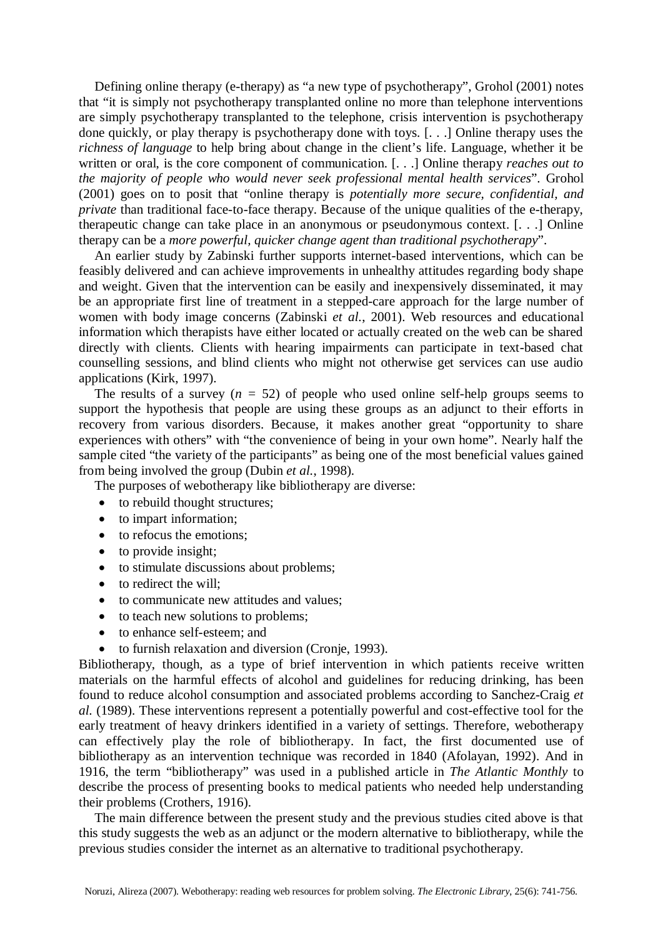Defining online therapy (e-therapy) as "a new type of psychotherapy", Grohol (2001) notes that "it is simply not psychotherapy transplanted online no more than telephone interventions are simply psychotherapy transplanted to the telephone, crisis intervention is psychotherapy done quickly, or play therapy is psychotherapy done with toys. [. . .] Online therapy uses the *richness of language* to help bring about change in the client's life. Language, whether it be written or oral, is the core component of communication. [. . .] Online therapy *reaches out to the majority of people who would never seek professional mental health services*". Grohol (2001) goes on to posit that "online therapy is *potentially more secure, confidential, and private* than traditional face-to-face therapy. Because of the unique qualities of the e-therapy, therapeutic change can take place in an anonymous or pseudonymous context. [. . .] Online therapy can be a *more powerful, quicker change agent than traditional psychotherapy*".

An earlier study by Zabinski further supports internet-based interventions, which can be feasibly delivered and can achieve improvements in unhealthy attitudes regarding body shape and weight. Given that the intervention can be easily and inexpensively disseminated, it may be an appropriate first line of treatment in a stepped-care approach for the large number of women with body image concerns (Zabinski *et al.*, 2001). Web resources and educational information which therapists have either located or actually created on the web can be shared directly with clients. Clients with hearing impairments can participate in text-based chat counselling sessions, and blind clients who might not otherwise get services can use audio applications (Kirk, 1997).

The results of a survey  $(n = 52)$  of people who used online self-help groups seems to support the hypothesis that people are using these groups as an adjunct to their efforts in recovery from various disorders. Because, it makes another great "opportunity to share experiences with others" with "the convenience of being in your own home". Nearly half the sample cited "the variety of the participants" as being one of the most beneficial values gained from being involved the group (Dubin *et al.*, 1998).

The purposes of webotherapy like bibliotherapy are diverse:

- to rebuild thought structures;
- $\bullet$  to impart information;
- $\bullet$  to refocus the emotions;
- $\bullet$  to provide insight;
- to stimulate discussions about problems:
- $\bullet$  to redirect the will:
- to communicate new attitudes and values:
- $\bullet$  to teach new solutions to problems;
- to enhance self-esteem; and
- to furnish relaxation and diversion (Cronje, 1993).

Bibliotherapy, though, as a type of brief intervention in which patients receive written materials on the harmful effects of alcohol and guidelines for reducing drinking, has been found to reduce alcohol consumption and associated problems according to Sanchez-Craig *et al.* (1989). These interventions represent a potentially powerful and cost-effective tool for the early treatment of heavy drinkers identified in a variety of settings. Therefore, webotherapy can effectively play the role of bibliotherapy. In fact, the first documented use of bibliotherapy as an intervention technique was recorded in 1840 (Afolayan, 1992). And in 1916, the term "bibliotherapy" was used in a published article in *The Atlantic Monthly* to describe the process of presenting books to medical patients who needed help understanding their problems (Crothers, 1916).

The main difference between the present study and the previous studies cited above is that this study suggests the web as an adjunct or the modern alternative to bibliotherapy, while the previous studies consider the internet as an alternative to traditional psychotherapy.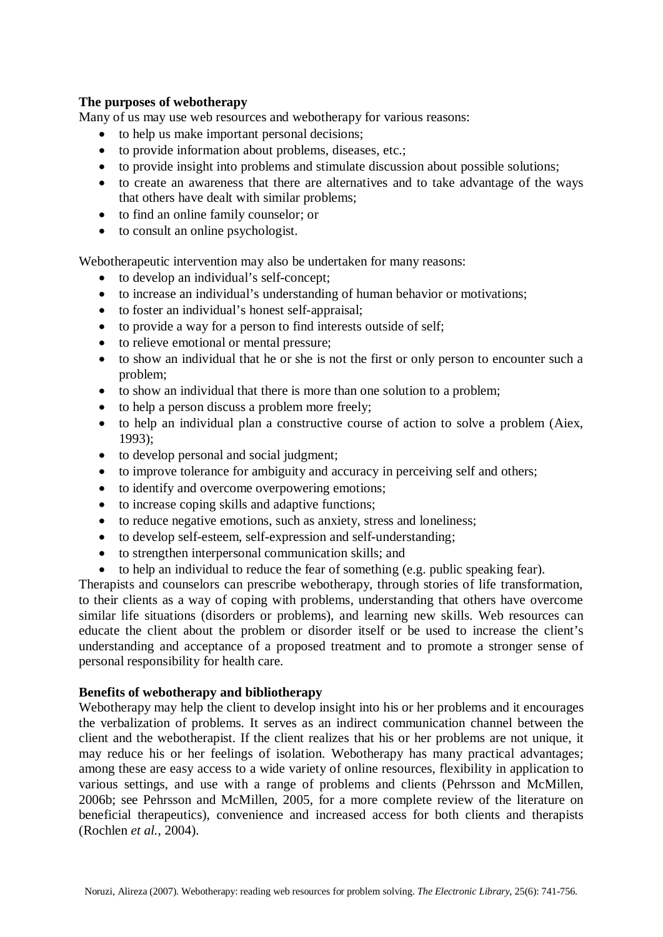# **The purposes of webotherapy**

Many of us may use web resources and webotherapy for various reasons:

- to help us make important personal decisions;
- $\bullet$  to provide information about problems, diseases, etc.;
- $\bullet$  to provide insight into problems and stimulate discussion about possible solutions;
- to create an awareness that there are alternatives and to take advantage of the ways that others have dealt with similar problems;
- to find an online family counselor; or
- to consult an online psychologist.

Webotherapeutic intervention may also be undertaken for many reasons:

- $\bullet$  to develop an individual's self-concept;
- to increase an individual's understanding of human behavior or motivations;
- $\bullet$  to foster an individual's honest self-appraisal;
- $\bullet$  to provide a way for a person to find interests outside of self;
- to relieve emotional or mental pressure;
- $\bullet$  to show an individual that he or she is not the first or only person to encounter such a problem;
- to show an individual that there is more than one solution to a problem;
- $\bullet$  to help a person discuss a problem more freely;
- $\bullet$  to help an individual plan a constructive course of action to solve a problem (Aiex, 1993);
- to develop personal and social judgment;
- $\bullet$  to improve tolerance for ambiguity and accuracy in perceiving self and others;
- to identify and overcome overpowering emotions;
- to increase coping skills and adaptive functions;
- $\bullet$  to reduce negative emotions, such as anxiety, stress and loneliness;
- to develop self-esteem, self-expression and self-understanding;
- to strengthen interpersonal communication skills; and
- $\bullet$  to help an individual to reduce the fear of something (e.g. public speaking fear).

Therapists and counselors can prescribe webotherapy, through stories of life transformation, to their clients as a way of coping with problems, understanding that others have overcome similar life situations (disorders or problems), and learning new skills. Web resources can educate the client about the problem or disorder itself or be used to increase the client's understanding and acceptance of a proposed treatment and to promote a stronger sense of personal responsibility for health care.

## **Benefits of webotherapy and bibliotherapy**

Webotherapy may help the client to develop insight into his or her problems and it encourages the verbalization of problems. It serves as an indirect communication channel between the client and the webotherapist. If the client realizes that his or her problems are not unique, it may reduce his or her feelings of isolation. Webotherapy has many practical advantages; among these are easy access to a wide variety of online resources, flexibility in application to various settings, and use with a range of problems and clients (Pehrsson and McMillen, 2006b; see Pehrsson and McMillen, 2005, for a more complete review of the literature on beneficial therapeutics), convenience and increased access for both clients and therapists (Rochlen *et al.*, 2004).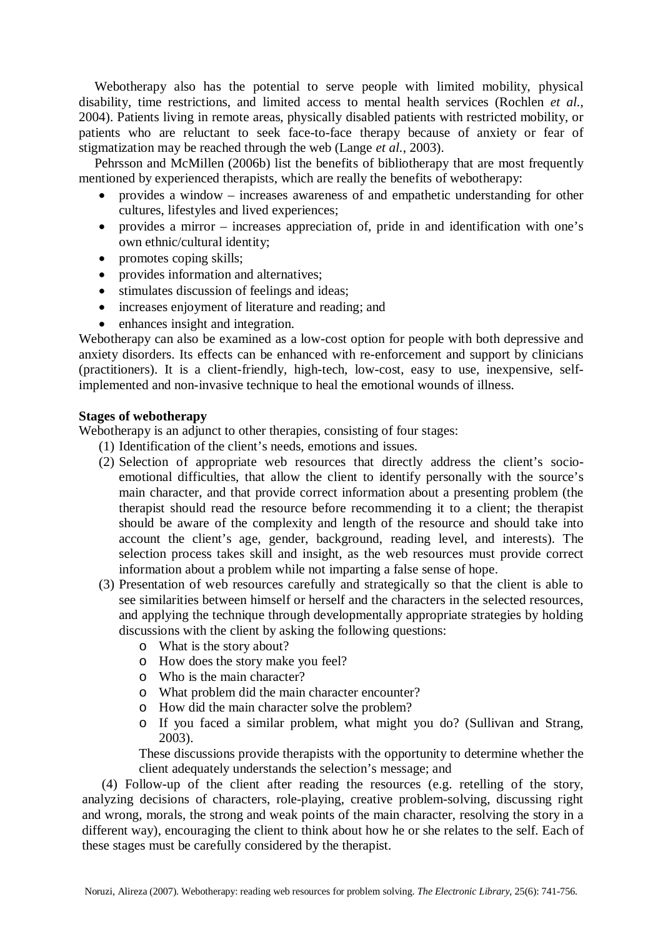Webotherapy also has the potential to serve people with limited mobility, physical disability, time restrictions, and limited access to mental health services (Rochlen *et al.*, 2004). Patients living in remote areas, physically disabled patients with restricted mobility, or patients who are reluctant to seek face-to-face therapy because of anxiety or fear of stigmatization may be reached through the web (Lange *et al.*, 2003).

Pehrsson and McMillen (2006b) list the benefits of bibliotherapy that are most frequently mentioned by experienced therapists, which are really the benefits of webotherapy:

- provides a window increases awareness of and empathetic understanding for other cultures, lifestyles and lived experiences;
- provides a mirror increases appreciation of, pride in and identification with one's own ethnic/cultural identity;
- $\bullet$  promotes coping skills;
- provides information and alternatives;
- stimulates discussion of feelings and ideas;
- increases enjoyment of literature and reading; and
- enhances insight and integration.

Webotherapy can also be examined as a low-cost option for people with both depressive and anxiety disorders. Its effects can be enhanced with re-enforcement and support by clinicians (practitioners). It is a client-friendly, high-tech, low-cost, easy to use, inexpensive, selfimplemented and non-invasive technique to heal the emotional wounds of illness.

#### **Stages of webotherapy**

Webotherapy is an adjunct to other therapies, consisting of four stages:

- (1) Identification of the client's needs, emotions and issues.
- (2) Selection of appropriate web resources that directly address the client's socioemotional difficulties, that allow the client to identify personally with the source's main character, and that provide correct information about a presenting problem (the therapist should read the resource before recommending it to a client; the therapist should be aware of the complexity and length of the resource and should take into account the client's age, gender, background, reading level, and interests). The selection process takes skill and insight, as the web resources must provide correct information about a problem while not imparting a false sense of hope.
- (3) Presentation of web resources carefully and strategically so that the client is able to see similarities between himself or herself and the characters in the selected resources, and applying the technique through developmentally appropriate strategies by holding discussions with the client by asking the following questions:
	- o What is the story about?
	- o How does the story make you feel?
	- o Who is the main character?
	- o What problem did the main character encounter?
	- o How did the main character solve the problem?
	- o If you faced a similar problem, what might you do? (Sullivan and Strang, 2003).

These discussions provide therapists with the opportunity to determine whether the client adequately understands the selection's message; and

(4) Follow-up of the client after reading the resources (e.g. retelling of the story, analyzing decisions of characters, role-playing, creative problem-solving, discussing right and wrong, morals, the strong and weak points of the main character, resolving the story in a different way), encouraging the client to think about how he or she relates to the self. Each of these stages must be carefully considered by the therapist.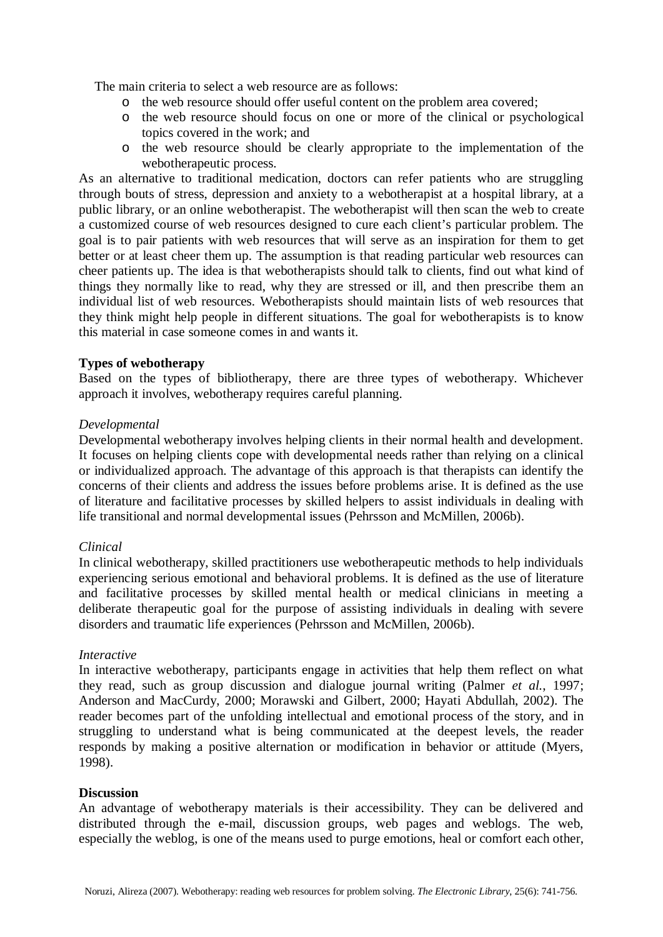The main criteria to select a web resource are as follows:

- o the web resource should offer useful content on the problem area covered;
- o the web resource should focus on one or more of the clinical or psychological topics covered in the work; and
- o the web resource should be clearly appropriate to the implementation of the webotherapeutic process.

As an alternative to traditional medication, doctors can refer patients who are struggling through bouts of stress, depression and anxiety to a webotherapist at a hospital library, at a public library, or an online webotherapist. The webotherapist will then scan the web to create a customized course of web resources designed to cure each client's particular problem. The goal is to pair patients with web resources that will serve as an inspiration for them to get better or at least cheer them up. The assumption is that reading particular web resources can cheer patients up. The idea is that webotherapists should talk to clients, find out what kind of things they normally like to read, why they are stressed or ill, and then prescribe them an individual list of web resources. Webotherapists should maintain lists of web resources that they think might help people in different situations. The goal for webotherapists is to know this material in case someone comes in and wants it.

## **Types of webotherapy**

Based on the types of bibliotherapy, there are three types of webotherapy. Whichever approach it involves, webotherapy requires careful planning.

### *Developmental*

Developmental webotherapy involves helping clients in their normal health and development. It focuses on helping clients cope with developmental needs rather than relying on a clinical or individualized approach. The advantage of this approach is that therapists can identify the concerns of their clients and address the issues before problems arise. It is defined as the use of literature and facilitative processes by skilled helpers to assist individuals in dealing with life transitional and normal developmental issues (Pehrsson and McMillen, 2006b).

## *Clinical*

In clinical webotherapy, skilled practitioners use webotherapeutic methods to help individuals experiencing serious emotional and behavioral problems. It is defined as the use of literature and facilitative processes by skilled mental health or medical clinicians in meeting a deliberate therapeutic goal for the purpose of assisting individuals in dealing with severe disorders and traumatic life experiences (Pehrsson and McMillen, 2006b).

#### *Interactive*

In interactive webotherapy, participants engage in activities that help them reflect on what they read, such as group discussion and dialogue journal writing (Palmer *et al.*, 1997; Anderson and MacCurdy, 2000; Morawski and Gilbert, 2000; Hayati Abdullah, 2002). The reader becomes part of the unfolding intellectual and emotional process of the story, and in struggling to understand what is being communicated at the deepest levels, the reader responds by making a positive alternation or modification in behavior or attitude (Myers, 1998).

#### **Discussion**

An advantage of webotherapy materials is their accessibility. They can be delivered and distributed through the e-mail, discussion groups, web pages and weblogs. The web, especially the weblog, is one of the means used to purge emotions, heal or comfort each other,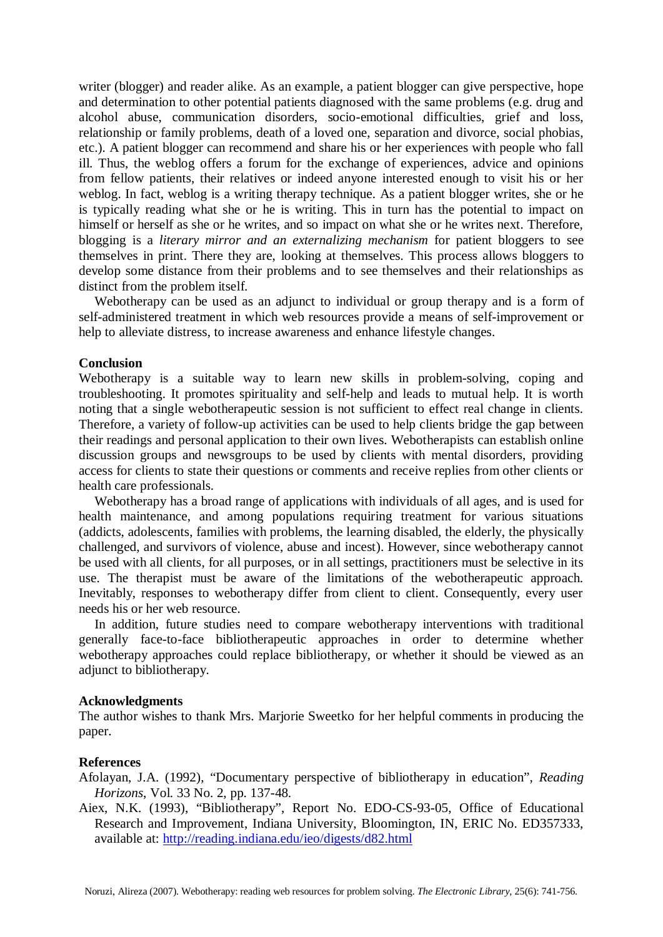writer (blogger) and reader alike. As an example, a patient blogger can give perspective, hope and determination to other potential patients diagnosed with the same problems (e.g. drug and alcohol abuse, communication disorders, socio-emotional difficulties, grief and loss, relationship or family problems, death of a loved one, separation and divorce, social phobias, etc.). A patient blogger can recommend and share his or her experiences with people who fall ill. Thus, the weblog offers a forum for the exchange of experiences, advice and opinions from fellow patients, their relatives or indeed anyone interested enough to visit his or her weblog. In fact, weblog is a writing therapy technique. As a patient blogger writes, she or he is typically reading what she or he is writing. This in turn has the potential to impact on himself or herself as she or he writes, and so impact on what she or he writes next. Therefore, blogging is a *literary mirror and an externalizing mechanism* for patient bloggers to see themselves in print. There they are, looking at themselves. This process allows bloggers to develop some distance from their problems and to see themselves and their relationships as distinct from the problem itself.

Webotherapy can be used as an adjunct to individual or group therapy and is a form of self-administered treatment in which web resources provide a means of self-improvement or help to alleviate distress, to increase awareness and enhance lifestyle changes.

#### **Conclusion**

Webotherapy is a suitable way to learn new skills in problem-solving, coping and troubleshooting. It promotes spirituality and self-help and leads to mutual help. It is worth noting that a single webotherapeutic session is not sufficient to effect real change in clients. Therefore, a variety of follow-up activities can be used to help clients bridge the gap between their readings and personal application to their own lives. Webotherapists can establish online discussion groups and newsgroups to be used by clients with mental disorders, providing access for clients to state their questions or comments and receive replies from other clients or health care professionals.

Webotherapy has a broad range of applications with individuals of all ages, and is used for health maintenance, and among populations requiring treatment for various situations (addicts, adolescents, families with problems, the learning disabled, the elderly, the physically challenged, and survivors of violence, abuse and incest). However, since webotherapy cannot be used with all clients, for all purposes, or in all settings, practitioners must be selective in its use. The therapist must be aware of the limitations of the webotherapeutic approach. Inevitably, responses to webotherapy differ from client to client. Consequently, every user needs his or her web resource.

In addition, future studies need to compare webotherapy interventions with traditional generally face-to-face bibliotherapeutic approaches in order to determine whether webotherapy approaches could replace bibliotherapy, or whether it should be viewed as an adjunct to bibliotherapy.

#### **Acknowledgments**

The author wishes to thank Mrs. Marjorie Sweetko for her helpful comments in producing the paper.

## **References**

- Afolayan, J.A. (1992), "Documentary perspective of bibliotherapy in education", *Reading Horizons*, Vol. 33 No. 2, pp. 137-48.
- Aiex, N.K. (1993), "Bibliotherapy", Report No. EDO-CS-93-05, Office of Educational Research and Improvement, Indiana University, Bloomington, IN, ERIC No. ED357333, available at: [http://reading.indiana.edu/ieo/digests/d82.html](http://:@reading.indiana.edu/ieo/digests/d82.html)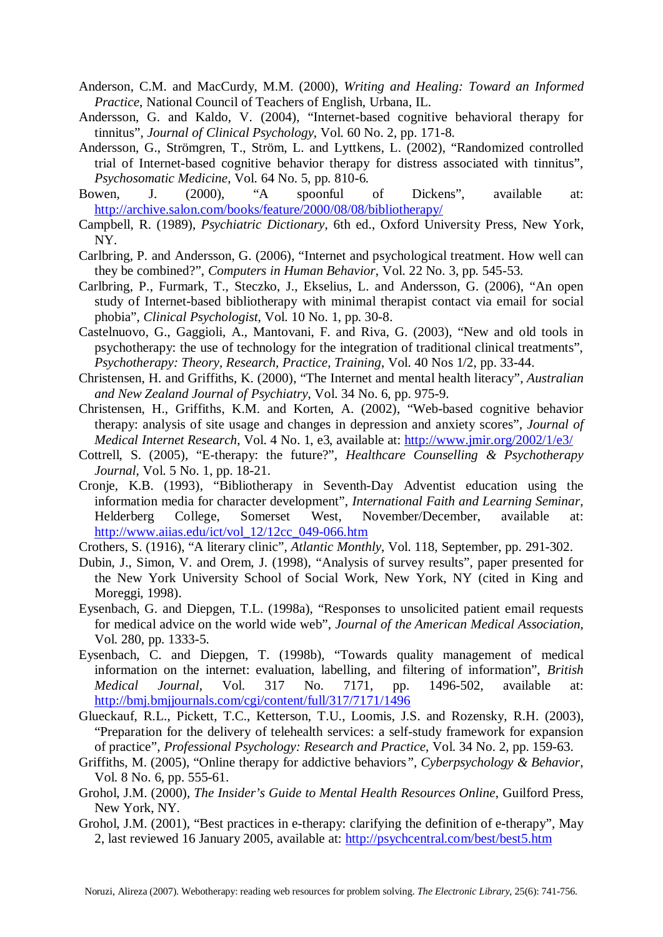- Anderson, C.M. and MacCurdy, M.M. (2000), *Writing and Healing: Toward an Informed Practice*, National Council of Teachers of English, Urbana, IL.
- Andersson, G. and Kaldo, V. (2004), "Internet-based cognitive behavioral therapy for tinnitus", *Journal of Clinical Psychology*, Vol. 60 No. 2, pp. 171-8.
- Andersson, G., Strömgren, T., Ström, L. and Lyttkens, L. (2002), "Randomized controlled trial of Internet-based cognitive behavior therapy for distress associated with tinnitus", *Psychosomatic Medicine*, Vol. 64 No. 5, pp. 810-6.
- Bowen, J. (2000), "A spoonful of Dickens", available at: [http://archive.salon.com/books/feature/2000/08/08/bibliotherapy/](http://:@archive.salon.com/books/feature/2000/08/08/bibliotherapy/)
- Campbell, R. (1989), *Psychiatric Dictionary*, 6th ed., Oxford University Press, New York, NY.
- Carlbring, P. and Andersson, G. (2006), "Internet and psychological treatment. How well can they be combined?", *Computers in Human Behavior*, Vol. 22 No. 3, pp. 545-53.
- Carlbring, P., Furmark, T., Steczko, J., Ekselius, L. and Andersson, G. (2006), "An open study of Internet-based bibliotherapy with minimal therapist contact via email for social phobia", *Clinical Psychologist*, Vol. 10 No. 1, pp. 30-8.
- Castelnuovo, G., Gaggioli, A., Mantovani, F. and Riva, G. (2003), "New and old tools in psychotherapy: the use of technology for the integration of traditional clinical treatments", *Psychotherapy: Theory, Research, Practice, Training*, Vol. 40 Nos 1/2, pp. 33-44.
- Christensen, H. and Griffiths, K. (2000), "The Internet and mental health literacy", *Australian and New Zealand Journal of Psychiatry*, Vol. 34 No. 6, pp. 975-9.
- Christensen, H., Griffiths, K.M. and Korten, A. (2002), "Web-based cognitive behavior therapy: analysis of site usage and changes in depression and anxiety scores", *Journal of Medical Internet Research*, Vol. 4 No. 1, e3, available at: [http://www.jmir.org/2002/1/e3/](http://:@www.jmir.org/2002/1/e3/)
- Cottrell, S. (2005), "E-therapy: the future?", *Healthcare Counselling & Psychotherapy Journal*, Vol. 5 No. 1, pp. 18-21.
- Cronje, K.B. (1993), "Bibliotherapy in Seventh-Day Adventist education using the information media for character development", *International Faith and Learning Seminar*, Helderberg College, Somerset West, November/December, available at: [http://www.aiias.edu/ict/vol\\_12/12cc\\_049-066.htm](http://:@www.aiias.edu/ict/vol_12/12cc_049-066.htm)
- Crothers, S. (1916), "A literary clinic", *Atlantic Monthly*, Vol. 118, September, pp. 291-302.
- Dubin, J., Simon, V. and Orem, J. (1998), "Analysis of survey results", paper presented for the New York University School of Social Work, New York, NY (cited in King and Moreggi, 1998).
- Eysenbach, G. and Diepgen, T.L. (1998a), "Responses to unsolicited patient email requests for medical advice on the world wide web", *Journal of the American Medical Association*, Vol. 280, pp. 1333-5.
- Eysenbach, C. and Diepgen, T. (1998b), "Towards quality management of medical information on the internet: evaluation, labelling, and filtering of information", *British Medical Journal*, Vol. 317 No. 7171, pp. 1496-502, available at: [http://bmj.bmjjournals.com/cgi/content/full/317/7171/1496](http://:@bmj.bmjjournals.com/cgi/content/full/317/7171/1496)
- Glueckauf, R.L., Pickett, T.C., Ketterson, T.U., Loomis, J.S. and Rozensky, R.H. (2003), "Preparation for the delivery of telehealth services: a self-study framework for expansion of practice", *Professional Psychology: Research and Practice*, Vol. 34 No. 2, pp. 159-63.
- Griffiths, M. (2005), "Online therapy for addictive behaviors*", Cyberpsychology & Behavior*, Vol. 8 No. 6, pp. 555-61.
- Grohol, J.M. (2000), *The Insider's Guide to Mental Health Resources Online*, Guilford Press, New York, NY.
- Grohol, J.M. (2001), "Best practices in e-therapy: clarifying the definition of e-therapy", May 2, last reviewed 16 January 2005, available at: [http://psychcentral.com/best/best5.htm](http://:@psychcentral.com/best/best5.htm)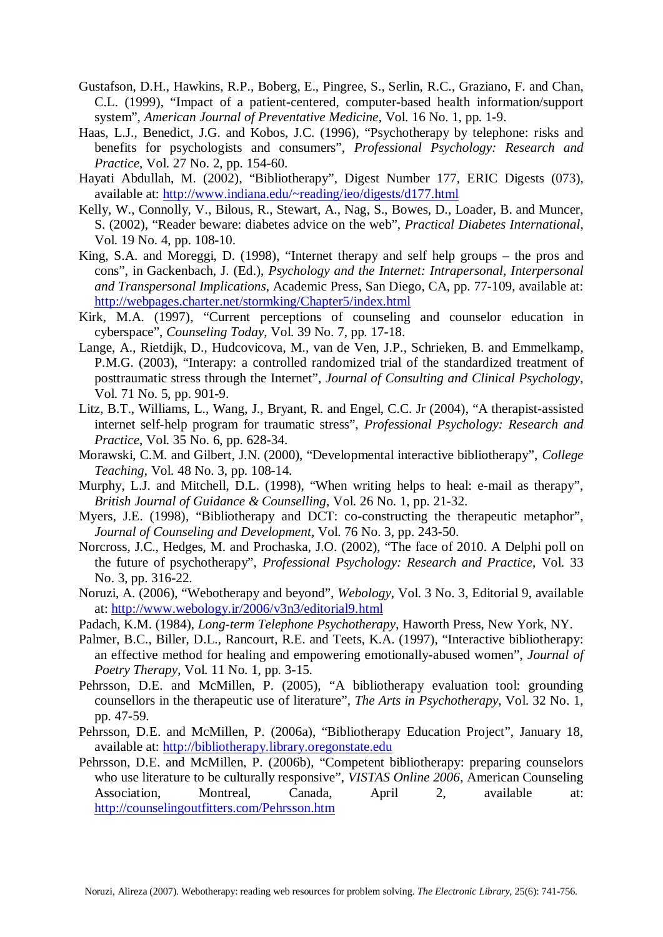- Gustafson, D.H., Hawkins, R.P., Boberg, E., Pingree, S., Serlin, R.C., Graziano, F. and Chan, C.L. (1999), "Impact of a patient-centered, computer-based health information/support system", *American Journal of Preventative Medicine*, Vol. 16 No. 1, pp. 1-9.
- Haas, L.J., Benedict, J.G. and Kobos, J.C. (1996), "Psychotherapy by telephone: risks and benefits for psychologists and consumers", *Professional Psychology: Research and Practice*, Vol. 27 No. 2, pp. 154-60.
- Hayati Abdullah, M. (2002), "Bibliotherapy", Digest Number 177, ERIC Digests (073), available at: [http://www.indiana.edu/~reading/ieo/digests/d177.html](http://:@www.indiana.edu/%7Ereading/ieo/digests/d177.html)
- Kelly, W., Connolly, V., Bilous, R., Stewart, A., Nag, S., Bowes, D., Loader, B. and Muncer, S. (2002), "Reader beware: diabetes advice on the web", *Practical Diabetes International*, Vol. 19 No. 4, pp. 108-10.
- King, S.A. and Moreggi, D. (1998), "Internet therapy and self help groups the pros and cons", in Gackenbach, J. (Ed.), *Psychology and the Internet: Intrapersonal, Interpersonal and Transpersonal Implications*, Academic Press, San Diego, CA, pp. 77-109, available at: [http://webpages.charter.net/stormking/Chapter5/index.html](http://:@webpages.charter.net/stormking/Chapter5/index.html)
- Kirk, M.A. (1997), "Current perceptions of counseling and counselor education in cyberspace", *Counseling Today*, Vol. 39 No. 7, pp. 17-18.
- Lange, A., Rietdijk, D., Hudcovicova, M., van de Ven, J.P., Schrieken, B. and Emmelkamp, P.M.G. (2003), "Interapy: a controlled randomized trial of the standardized treatment of posttraumatic stress through the Internet", *Journal of Consulting and Clinical Psychology*, Vol. 71 No. 5, pp. 901-9.
- Litz, B.T., Williams, L., Wang, J., Bryant, R. and Engel, C.C. Jr (2004), "A therapist-assisted internet self-help program for traumatic stress", *Professional Psychology: Research and Practice*, Vol. 35 No. 6, pp. 628-34.
- Morawski, C.M. and Gilbert, J.N. (2000), "Developmental interactive bibliotherapy", *College Teaching*, Vol. 48 No. 3, pp. 108-14.
- Murphy, L.J. and Mitchell, D.L. (1998), "When writing helps to heal: e-mail as therapy", *British Journal of Guidance & Counselling*, Vol. 26 No. 1, pp. 21-32.
- Myers, J.E. (1998), "Bibliotherapy and DCT: co-constructing the therapeutic metaphor", *Journal of Counseling and Development*, Vol. 76 No. 3, pp. 243-50.
- Norcross, J.C., Hedges, M. and Prochaska, J.O. (2002), "The face of 2010. A Delphi poll on the future of psychotherapy", *Professional Psychology: Research and Practice*, Vol. 33 No. 3, pp. 316-22.
- Noruzi, A. (2006), "Webotherapy and beyond", *Webology*, Vol. 3 No. 3, Editorial 9, available at: [http://www.webology.ir/2006/v3n3/editorial9.html](http://:@www.webology.ir/2006/v3n3/editorial9.html)
- Padach, K.M. (1984), *Long-term Telephone Psychotherapy*, Haworth Press, New York, NY.
- Palmer, B.C., Biller, D.L., Rancourt, R.E. and Teets, K.A. (1997), "Interactive bibliotherapy: an effective method for healing and empowering emotionally-abused women", *Journal of Poetry Therapy*, Vol. 11 No. 1, pp. 3-15.
- Pehrsson, D.E. and McMillen, P. (2005), "A bibliotherapy evaluation tool: grounding counsellors in the therapeutic use of literature", *The Arts in Psychotherapy*, Vol. 32 No. 1, pp. 47-59.
- Pehrsson, D.E. and McMillen, P. (2006a), "Bibliotherapy Education Project", January 18, available at: [http://bibliotherapy.library.oregonstate.edu](http://:@bibliotherapy.library.oregonstate.edu/)
- Pehrsson, D.E. and McMillen, P. (2006b), "Competent bibliotherapy: preparing counselors who use literature to be culturally responsive", *VISTAS Online 2006*, American Counseling Association, Montreal, Canada, April 2, available at: [http://counselingoutfitters.com/Pehrsson.htm](http://:@counselingoutfitters.com/Pehrsson.htm)